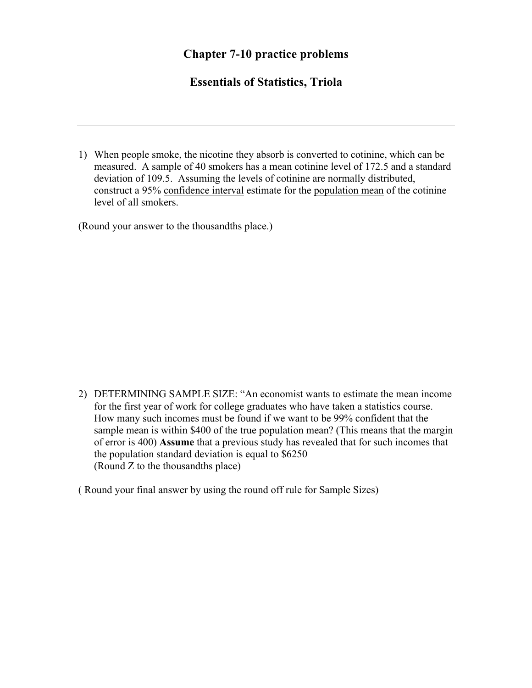## **Chapter 7-10 practice problems**

## **Essentials of Statistics, Triola**

1) When people smoke, the nicotine they absorb is converted to cotinine, which can be measured. A sample of 40 smokers has a mean cotinine level of 172.5 and a standard deviation of 109.5. Assuming the levels of cotinine are normally distributed, construct a 95% confidence interval estimate for the population mean of the cotinine level of all smokers.

(Round your answer to the thousandths place.)

2) DETERMINING SAMPLE SIZE: "An economist wants to estimate the mean income for the first year of work for college graduates who have taken a statistics course. How many such incomes must be found if we want to be 99% confident that the sample mean is within \$400 of the true population mean? (This means that the margin of error is 400) **Assume** that a previous study has revealed that for such incomes that the population standard deviation is equal to \$6250 (Round Z to the thousandths place)

( Round your final answer by using the round off rule for Sample Sizes)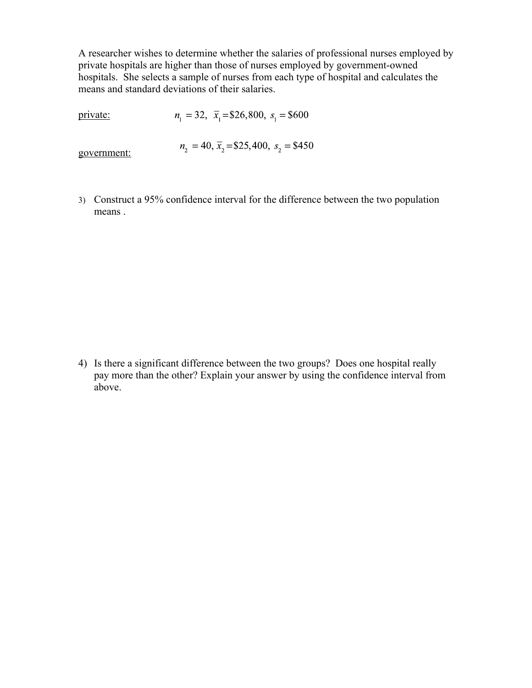A researcher wishes to determine whether the salaries of professional nurses employed by private hospitals are higher than those of nurses employed by government-owned hospitals. She selects a sample of nurses from each type of hospital and calculates the means and standard deviations of their salaries.

 $n_1 = 32$ ,  $\bar{x}_1 = $26,800$ ,  $s_1 = $600$ private:

government:

 $n_2 = 40$ ,  $\bar{x}_2 = $25,400$ ,  $s_2 = $450$ 

3) Construct a 95% confidence interval for the difference between the two population means .

4) Is there a significant difference between the two groups? Does one hospital really pay more than the other? Explain your answer by using the confidence interval from above.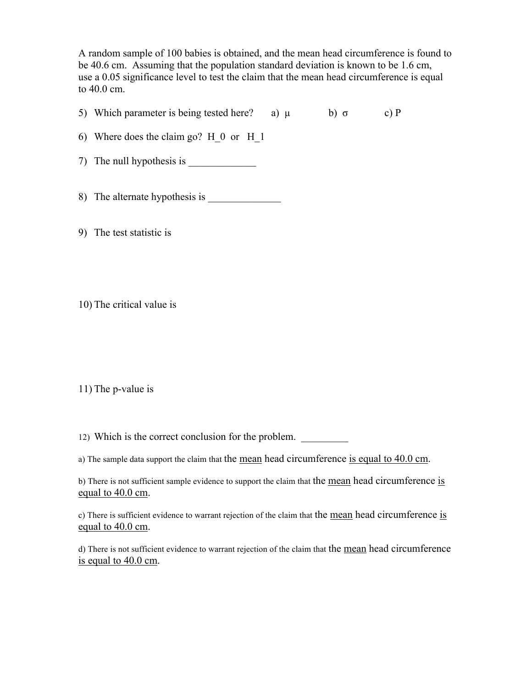A random sample of 100 babies is obtained, and the mean head circumference is found to be 40.6 cm. Assuming that the population standard deviation is known to be 1.6 cm, use a 0.05 significance level to test the claim that the mean head circumference is equal to 40.0 cm.

5) Which parameter is being tested here? a)  $\mu$  b) σ c) P

6) Where does the claim go? H\_0 or H\_1

7) The null hypothesis is

8) The alternate hypothesis is

9) The test statistic is

10) The critical value is

11) The p-value is

12) Which is the correct conclusion for the problem.

a) The sample data support the claim that the mean head circumference is equal to 40.0 cm.

b) There is not sufficient sample evidence to support the claim that the mean head circumference is equal to 40.0 cm.

c) There is sufficient evidence to warrant rejection of the claim that the mean head circumference is equal to 40.0 cm.

d) There is not sufficient evidence to warrant rejection of the claim that the mean head circumference is equal to 40.0 cm.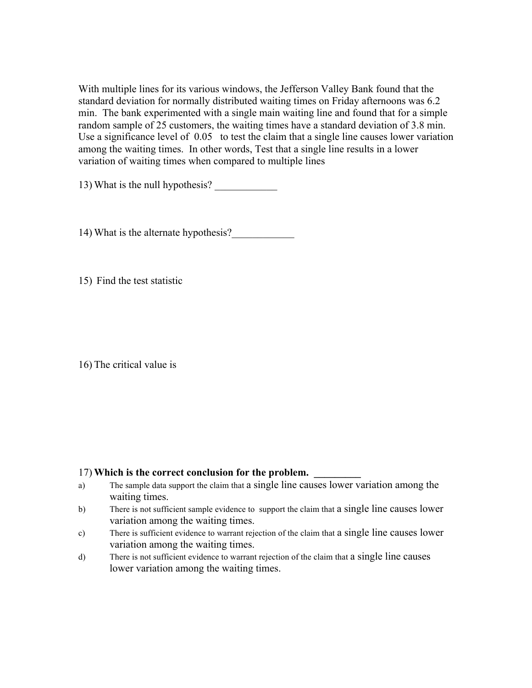With multiple lines for its various windows, the Jefferson Valley Bank found that the standard deviation for normally distributed waiting times on Friday afternoons was 6.2 min. The bank experimented with a single main waiting line and found that for a simple random sample of 25 customers, the waiting times have a standard deviation of 3.8 min. Use a significance level of  $0.05$  to test the claim that a single line causes lower variation among the waiting times. In other words, Test that a single line results in a lower variation of waiting times when compared to multiple lines

13) What is the null hypothesis? \_\_\_\_\_\_\_\_\_\_\_\_

14) What is the alternate hypothesis?

15) Find the test statistic

16) The critical value is

## 17) Which is the correct conclusion for the problem.

- a) The sample data support the claim that a single line causes lower variation among the waiting times.
- b) There is not sufficient sample evidence to support the claim that a single line causes lower variation among the waiting times.
- c) There is sufficient evidence to warrant rejection of the claim that a single line causes lower variation among the waiting times.
- d) There is not sufficient evidence to warrant rejection of the claim that a single line causes lower variation among the waiting times.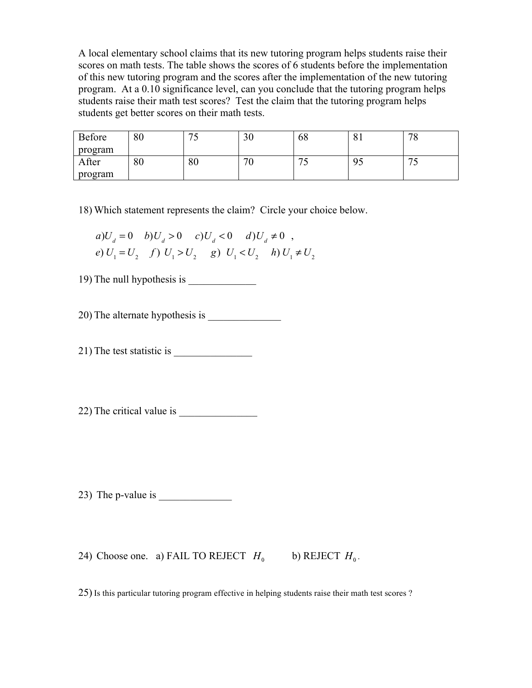A local elementary school claims that its new tutoring program helps students raise their scores on math tests. The table shows the scores of 6 students before the implementation of this new tutoring program and the scores after the implementation of the new tutoring program. At a 0.10 significance level, can you conclude that the tutoring program helps students raise their math test scores? Test the claim that the tutoring program helps students get better scores on their math tests.

| Before  | 80 | $\overline{\phantom{a}}$<br>ັ | $\cap$<br>υc | 68                | O <sub>1</sub>       | 70<br>$\circ$       |
|---------|----|-------------------------------|--------------|-------------------|----------------------|---------------------|
| program |    |                               |              |                   |                      |                     |
| After   | 80 | 80                            | 7C<br>v      | $\mathbf{u}$<br>ັ | 0 <sup>5</sup><br>JJ | $\overline{ }$<br>◡ |
| program |    |                               |              |                   |                      |                     |

18) Which statement represents the claim? Circle your choice below.

$$
a)U_d = 0 \t b)U_d > 0 \t c)U_d < 0 \t d)U_d \neq 0 ,
$$
  

$$
e) U_1 = U_2 \t f) U_1 > U_2 \t g) U_1 < U_2 \t h) U_1 \neq U_2
$$

19) The null hypothesis is \_\_\_\_\_\_\_\_\_\_\_\_\_

20) The alternate hypothesis is

21) The test statistic is \_\_\_\_\_\_\_\_\_\_\_\_\_\_\_

 $22$ ) The critical value is

23) The p-value is  $\overline{\phantom{a}}$ 

24) Choose one. a) FAIL TO REJECT  $H_0$  b) REJECT  $H_0$ .

25) Is this particular tutoring program effective in helping students raise their math test scores ?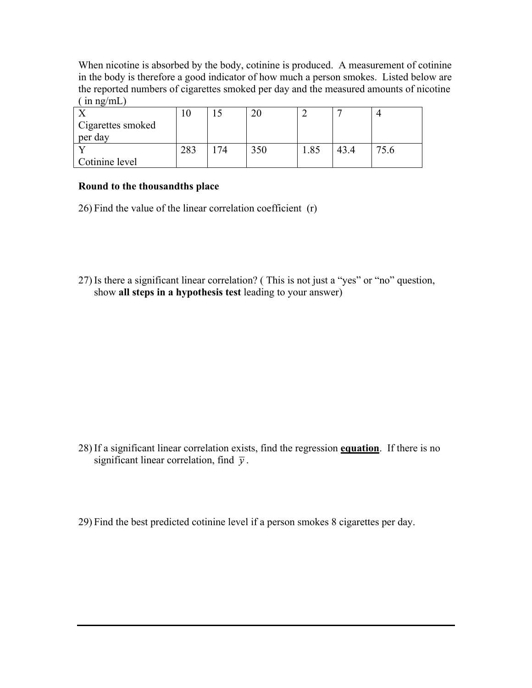When nicotine is absorbed by the body, cotinine is produced. A measurement of cotinine in the body is therefore a good indicator of how much a person smokes. Listed below are the reported numbers of cigarettes smoked per day and the measured amounts of nicotine  $(\text{in ng/mL})$ 

|                   | ιv  |  |     |  |
|-------------------|-----|--|-----|--|
| Cigarettes smoked |     |  |     |  |
| per day           |     |  |     |  |
|                   | 283 |  | .85 |  |
| Cotinine level    |     |  |     |  |

## **Round to the thousandths place**

26) Find the value of the linear correlation coefficient (r)

27) Is there a significant linear correlation? ( This is not just a "yes" or "no" question, show **all steps in a hypothesis test** leading to your answer)

28) If a significant linear correlation exists, find the regression **equation**. If there is no significant linear correlation, find  $\bar{y}$ .

29) Find the best predicted cotinine level if a person smokes 8 cigarettes per day.